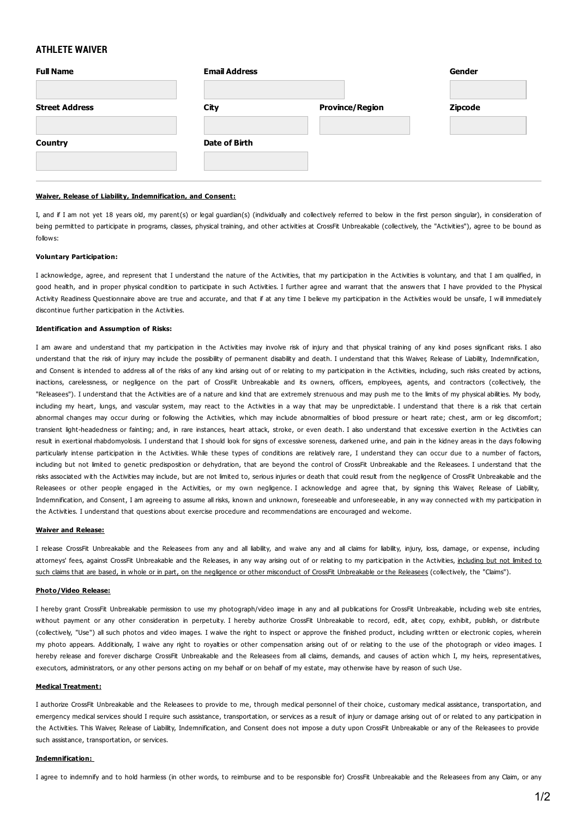# **ATHLETE WAIVER**

| <b>Full Name</b>      | <b>Email Address</b> |                        | Gender         |
|-----------------------|----------------------|------------------------|----------------|
| <b>Street Address</b> | City                 | <b>Province/Region</b> | <b>Zipcode</b> |
| <b>Country</b>        | Date of Birth        |                        |                |
|                       |                      |                        |                |

## **Waiver, Release of Liability, Indemnification, and Consent:**

I, and if I am not yet 18 years old, my parent(s) or legal guardian(s) (individually and collectively referred to below in the first person singular), in consideration of being permitted to participate in programs, classes, physical training, and other activities at CrossFit Unbreakable (collectively, the "Activities"), agree to be bound as follows:

### **Voluntary Participation:**

I acknowledge, agree, and represent that I understand the nature of the Activities, that my participation in the Activities is voluntary, and that I am qualified, in good health, and in proper physical condition to participate in such Activities. I further agree and warrant that the answers that I have provided to the Physical Activity Readiness Questionnaire above are true and accurate, and that if at any time I believe my participation in the Activities would be unsafe, I will immediately discontinue further participation in the Activities.

#### **Identification and Assumption of Risks:**

I am aware and understand that my participation in the Activities may involve risk of injury and that physical training of any kind poses significant risks. I also understand that the risk of injury may include the possibility of permanent disability and death. I understand that this Waiver, Release of Liability, Indemnification, and Consent is intended to address all of the risks of any kind arising out of or relating to my participation in the Activities, including, such risks created by actions, inactions, carelessness, or negligence on the part of CrossFit Unbreakable and its owners, officers, employees, agents, and contractors (collectively, the "Releasees"). I understand that the Activities are of a nature and kind that are extremely strenuous and may push me to the limits of my physical abilities. My body, including my heart, lungs, and vascular system, may react to the Activities in a way that may be unpredictable. I understand that there is a risk that certain abnormal changes may occur during or following the Activities, which may include abnormalities of blood pressure or heart rate; chest, arm or leg discomfort; transient light-headedness or fainting; and, in rare instances, heart attack, stroke, or even death. I also understand that excessive exertion in the Activities can result in exertional rhabdomyolosis. I understand that I should look for signs of excessive soreness, darkened urine, and pain in the kidney areas in the days following particularly intense participation in the Activities. While these types of conditions are relatively rare, I understand they can occur due to a number of factors, including but not limited to genetic predisposition or dehydration, that are beyond the control of CrossFit Unbreakable and the Releasees. I understand that the risks associated with the Activities may include, but are not limited to, serious injuries or death that could result from the negligence of CrossFit Unbreakable and the Releasees or other people engaged in the Activities, or my own negligence. I acknowledge and agree that, by signing this Waiver, Release of Liability, Indemnification, and Consent, I am agreeing to assume all risks, known and unknown, foreseeable and unforeseeable, in any way connected with my participation in the Activities. I understand that questions about exercise procedure and recommendations are encouraged and welcome.

### **Waiver and Release:**

I release CrossFit Unbreakable and the Releasees from any and all liability, and waive any and all claims for liability, injury, loss, damage, or expense, including attorneys' fees, against CrossFit Unbreakable and the Releases, in any way arising out of or relating to my participation in the Activities, including but not limited to such claims that are based, in whole or in part, on the negligence or other misconduct of CrossFit Unbreakable or the Releasees (collectively, the "Claims").

### **Photo/Video Release:**

I hereby grant CrossFit Unbreakable permission to use my photograph/video image in any and all publications for CrossFit Unbreakable, including web site entries, without payment or any other consideration in perpetuity. I hereby authorize CrossFit Unbreakable to record, edit, alter, copy, exhibit, publish, or distribute (collectively, "Use") all such photos and video images. I waive the right to inspect or approve the finished product, including written or electronic copies, wherein my photo appears. Additionally, I waive any right to royalties or other compensation arising out of or relating to the use of the photograph or video images. I hereby release and forever discharge CrossFit Unbreakable and the Releasees from all claims, demands, and causes of action which I, my heirs, representatives, executors, administrators, or any other persons acting on my behalf or on behalf of my estate, may otherwise have by reason of such Use.

### **Medical Treatment:**

I authorize CrossFit Unbreakable and the Releasees to provide to me, through medical personnel of their choice, customary medical assistance, transportation, and emergency medical services should I require such assistance, transportation, or services as a result of injury or damage arising out of or related to any participation in the Activities. This Waiver, Release of Liability, Indemnification, and Consent does not impose a duty upon CrossFit Unbreakable or any of the Releasees to provide such assistance, transportation, or services.

#### **Indemnification:**

I agree to indemnify and to hold harmless (in other words, to reimburse and to be responsible for) CrossFit Unbreakable and the Releasees from any Claim, or any